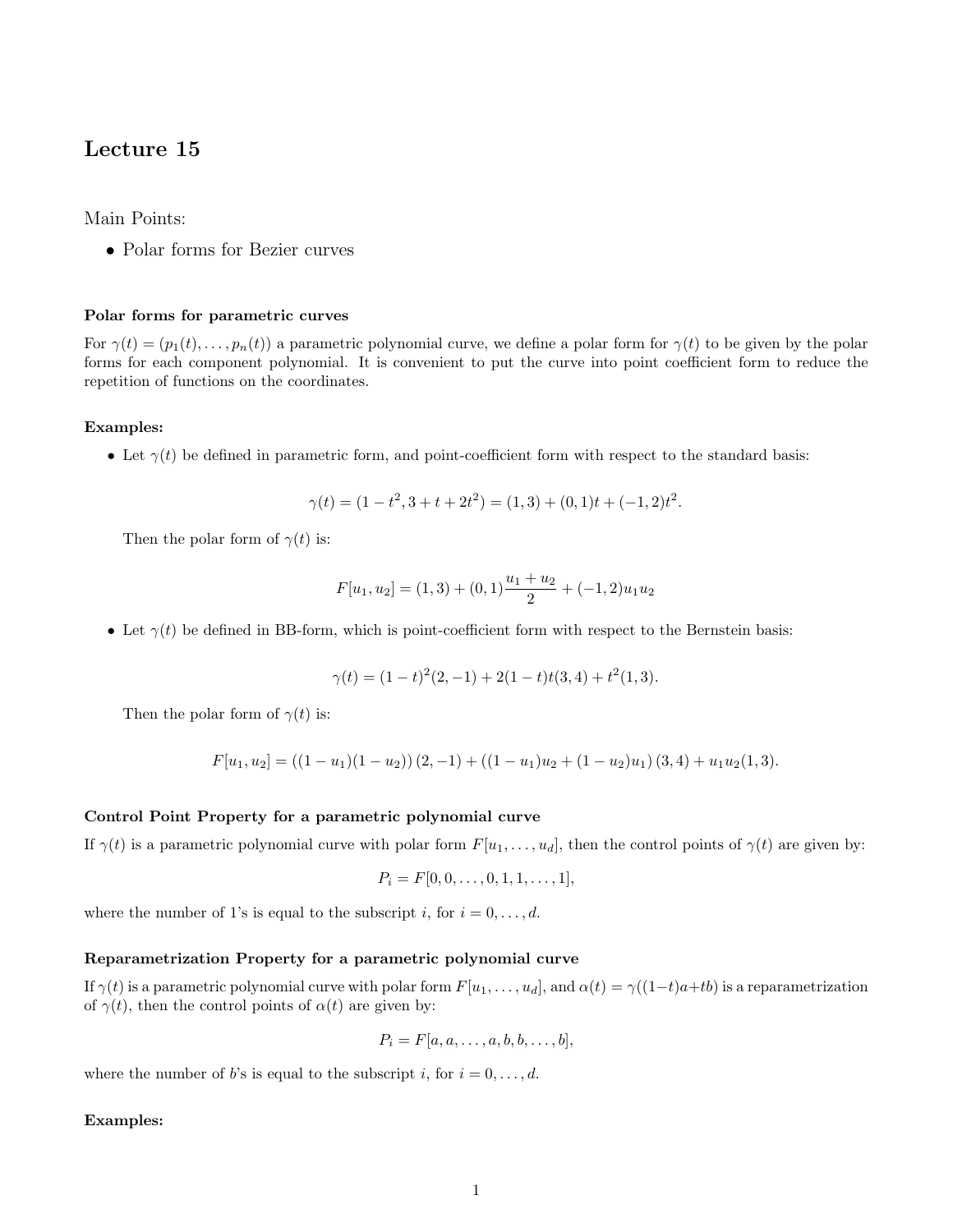# Lecture 15

Main Points:

• Polar forms for Bezier curves

## Polar forms for parametric curves

For  $\gamma(t) = (p_1(t), \ldots, p_n(t))$  a parametric polynomial curve, we define a polar form for  $\gamma(t)$  to be given by the polar forms for each component polynomial. It is convenient to put the curve into point coefficient form to reduce the repetition of functions on the coordinates.

## Examples:

• Let  $\gamma(t)$  be defined in parametric form, and point-coefficient form with respect to the standard basis:

$$
\gamma(t) = (1 - t^2, 3 + t + 2t^2) = (1, 3) + (0, 1)t + (-1, 2)t^2.
$$

Then the polar form of  $\gamma(t)$  is:

$$
F[u_1, u_2] = (1, 3) + (0, 1)\frac{u_1 + u_2}{2} + (-1, 2)u_1u_2
$$

• Let  $\gamma(t)$  be defined in BB-form, which is point-coefficient form with respect to the Bernstein basis:

$$
\gamma(t) = (1-t)^2(2,-1) + 2(1-t)t(3,4) + t^2(1,3).
$$

Then the polar form of  $\gamma(t)$  is:

$$
F[u_1, u_2] = ((1 - u_1)(1 - u_2))(2, -1) + ((1 - u_1)u_2 + (1 - u_2)u_1)(3, 4) + u_1u_2(1, 3).
$$

# Control Point Property for a parametric polynomial curve

If  $\gamma(t)$  is a parametric polynomial curve with polar form  $F[u_1, \ldots, u_d]$ , then the control points of  $\gamma(t)$  are given by:

$$
P_i = F[0, 0, \dots, 0, 1, 1, \dots, 1],
$$

where the number of 1's is equal to the subscript i, for  $i = 0, \ldots, d$ .

# Reparametrization Property for a parametric polynomial curve

If  $\gamma(t)$  is a parametric polynomial curve with polar form  $F[u_1, \ldots, u_d]$ , and  $\alpha(t) = \gamma((1-t)a+tb)$  is a reparametrization of  $\gamma(t)$ , then the control points of  $\alpha(t)$  are given by:

$$
P_i = F[a, a, \dots, a, b, b, \dots, b],
$$

where the number of b's is equal to the subscript i, for  $i = 0, \ldots, d$ .

## Examples: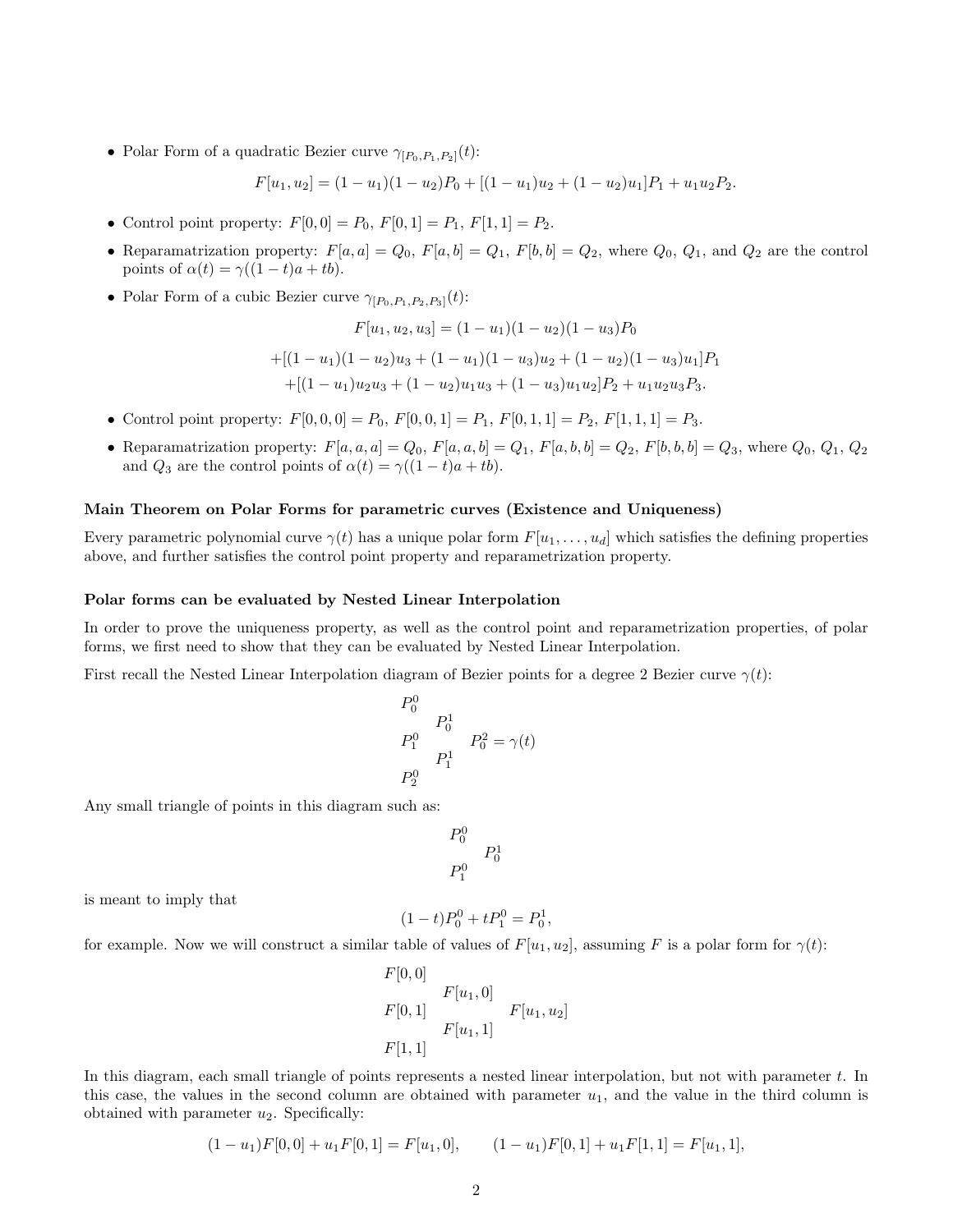• Polar Form of a quadratic Bezier curve  $\gamma_{[P_0,P_1,P_2]}(t)$ :

$$
F[u_1, u_2] = (1 - u_1)(1 - u_2)P_0 + [(1 - u_1)u_2 + (1 - u_2)u_1]P_1 + u_1u_2P_2.
$$

- Control point property:  $F[0,0] = P_0$ ,  $F[0,1] = P_1$ ,  $F[1,1] = P_2$ .
- Reparamatrization property:  $F[a, a] = Q_0$ ,  $F[a, b] = Q_1$ ,  $F[b, b] = Q_2$ , where  $Q_0$ ,  $Q_1$ , and  $Q_2$  are the control points of  $\alpha(t) = \gamma((1-t)a + tb)$ .
- Polar Form of a cubic Bezier curve  $\gamma_{[P_0,P_1,P_2,P_3]}(t)$ :

$$
F[u_1, u_2, u_3] = (1 - u_1)(1 - u_2)(1 - u_3)P_0
$$
  
+[(1 - u\_1)(1 - u\_2)u\_3 + (1 - u\_1)(1 - u\_3)u\_2 + (1 - u\_2)(1 - u\_3)u\_1]P\_1  
+[(1 - u\_1)u\_2u\_3 + (1 - u\_2)u\_1u\_3 + (1 - u\_3)u\_1u\_2]P\_2 + u\_1u\_2u\_3P\_3.

- Control point property:  $F[0, 0, 0] = P_0$ ,  $F[0, 0, 1] = P_1$ ,  $F[0, 1, 1] = P_2$ ,  $F[1, 1, 1] = P_3$ .
- Reparamatrization property:  $F[a, a, a] = Q_0, F[a, a, b] = Q_1, F[a, b, b] = Q_2, F[b, b, b] = Q_3$ , where  $Q_0, Q_1, Q_2$ and  $Q_3$  are the control points of  $\alpha(t) = \gamma((1-t)a + tb)$ .

## Main Theorem on Polar Forms for parametric curves (Existence and Uniqueness)

Every parametric polynomial curve  $\gamma(t)$  has a unique polar form  $F[u_1, \ldots, u_d]$  which satisfies the defining properties above, and further satisfies the control point property and reparametrization property.

#### Polar forms can be evaluated by Nested Linear Interpolation

In order to prove the uniqueness property, as well as the control point and reparametrization properties, of polar forms, we first need to show that they can be evaluated by Nested Linear Interpolation.

First recall the Nested Linear Interpolation diagram of Bezier points for a degree 2 Bezier curve  $\gamma(t)$ :

$$
\begin{array}{ccc}\nP_0^0 & & & \\
P_0^1 & & & \\
P_1^0 & & & \\
P_1^1 & & & \\
P_2^0 & & & \n\end{array} \hspace{0.2cm} P_0^2 = \gamma(t)
$$

Any small triangle of points in this diagram such as:

$$
\begin{array}{cc}\nP_0^0 \\
P_1^0\n\end{array}
$$

is meant to imply that

$$
(1-t)P_0^0 + tP_1^0 = P_0^1,
$$

for example. Now we will construct a similar table of values of  $F[u_1, u_2]$ , assuming F is a polar form for  $\gamma(t)$ :

$$
F[0,0]
$$
  
\n
$$
F[u_1,0]
$$
  
\n
$$
F[u_1,1]
$$
  
\n
$$
F[u_1,1]
$$
  
\n
$$
F[1,1]
$$
  
\n
$$
F[1,1]
$$

In this diagram, each small triangle of points represents a nested linear interpolation, but not with parameter  $t$ . In this case, the values in the second column are obtained with parameter  $u_1$ , and the value in the third column is obtained with parameter  $u_2$ . Specifically:

$$
(1 - u1)F[0, 0] + u1F[0, 1] = F[u1, 0], \t(1 - u1)F[0, 1] + u1F[1, 1] = F[u1, 1],
$$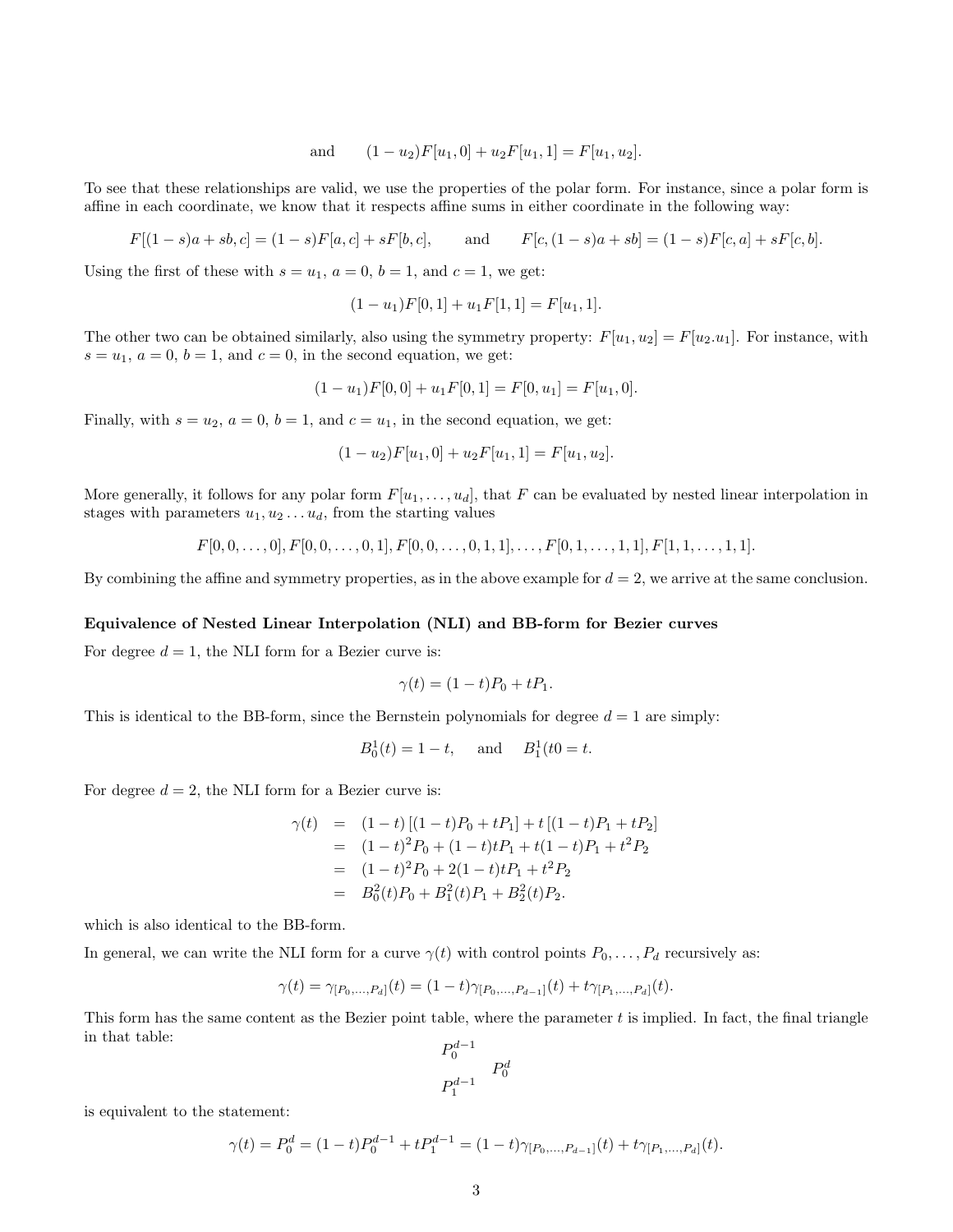and 
$$
(1 - u_2)F[u_1, 0] + u_2F[u_1, 1] = F[u_1, u_2].
$$

To see that these relationships are valid, we use the properties of the polar form. For instance, since a polar form is affine in each coordinate, we know that it respects affine sums in either coordinate in the following way:

$$
F[(1-s)a + sb, c] = (1-s)F[a, c] + sF[b, c],
$$
 and  $F[c, (1-s)a + sb] = (1-s)F[c, a] + sF[c, b].$ 

Using the first of these with  $s = u_1$ ,  $a = 0$ ,  $b = 1$ , and  $c = 1$ , we get:

$$
(1 - u1)F[0, 1] + u1F[1, 1] = F[u1, 1].
$$

The other two can be obtained similarly, also using the symmetry property:  $F[u_1, u_2] = F[u_2, u_1]$ . For instance, with  $s = u_1, a = 0, b = 1, and c = 0$ , in the second equation, we get:

$$
(1 - u1)F[0, 0] + u1F[0, 1] = F[0, u1] = F[u1, 0].
$$

Finally, with  $s = u_2$ ,  $a = 0$ ,  $b = 1$ , and  $c = u_1$ , in the second equation, we get:

$$
(1 - u2)F[u1, 0] + u2F[u1, 1] = F[u1, u2].
$$

More generally, it follows for any polar form  $F[u_1, \ldots, u_d]$ , that F can be evaluated by nested linear interpolation in stages with parameters  $u_1, u_2 \ldots u_d$ , from the starting values

$$
F[0, 0, \ldots, 0], F[0, 0, \ldots, 0, 1], F[0, 0, \ldots, 0, 1, 1], \ldots, F[0, 1, \ldots, 1, 1], F[1, 1, \ldots, 1, 1].
$$

By combining the affine and symmetry properties, as in the above example for  $d = 2$ , we arrive at the same conclusion.

#### Equivalence of Nested Linear Interpolation (NLI) and BB-form for Bezier curves

For degree  $d = 1$ , the NLI form for a Bezier curve is:

$$
\gamma(t) = (1 - t)P_0 + tP_1.
$$

This is identical to the BB-form, since the Bernstein polynomials for degree  $d = 1$  are simply:

$$
B_0^1(t) = 1 - t
$$
, and  $B_1^1(t0 = t)$ .

For degree  $d = 2$ , the NLI form for a Bezier curve is:

$$
\gamma(t) = (1-t)[(1-t)P_0 + tP_1] + t[(1-t)P_1 + tP_2]
$$
  
=  $(1-t)^2 P_0 + (1-t)tP_1 + t(1-t)P_1 + t^2 P_2$   
=  $(1-t)^2 P_0 + 2(1-t)tP_1 + t^2 P_2$   
=  $B_0^2(t)P_0 + B_1^2(t)P_1 + B_2^2(t)P_2.$ 

which is also identical to the BB-form.

In general, we can write the NLI form for a curve  $\gamma(t)$  with control points  $P_0, \ldots, P_d$  recursively as:

$$
\gamma(t) = \gamma_{[P_0,\ldots,P_d]}(t) = (1-t)\gamma_{[P_0,\ldots,P_{d-1}]}(t) + t\gamma_{[P_1,\ldots,P_d]}(t).
$$

This form has the same content as the Bezier point table, where the parameter  $t$  is implied. In fact, the final triangle in that table:

$$
\begin{array}{cc}\nP_0^{d-1} \\
P_1^{d-1} \\
P_1^{d-1}\n\end{array}
$$

is equivalent to the statement:

$$
\gamma(t) = P_0^d = (1-t)P_0^{d-1} + tP_1^{d-1} = (1-t)\gamma_{[P_0,\ldots,P_{d-1}]}(t) + t\gamma_{[P_1,\ldots,P_d]}(t).
$$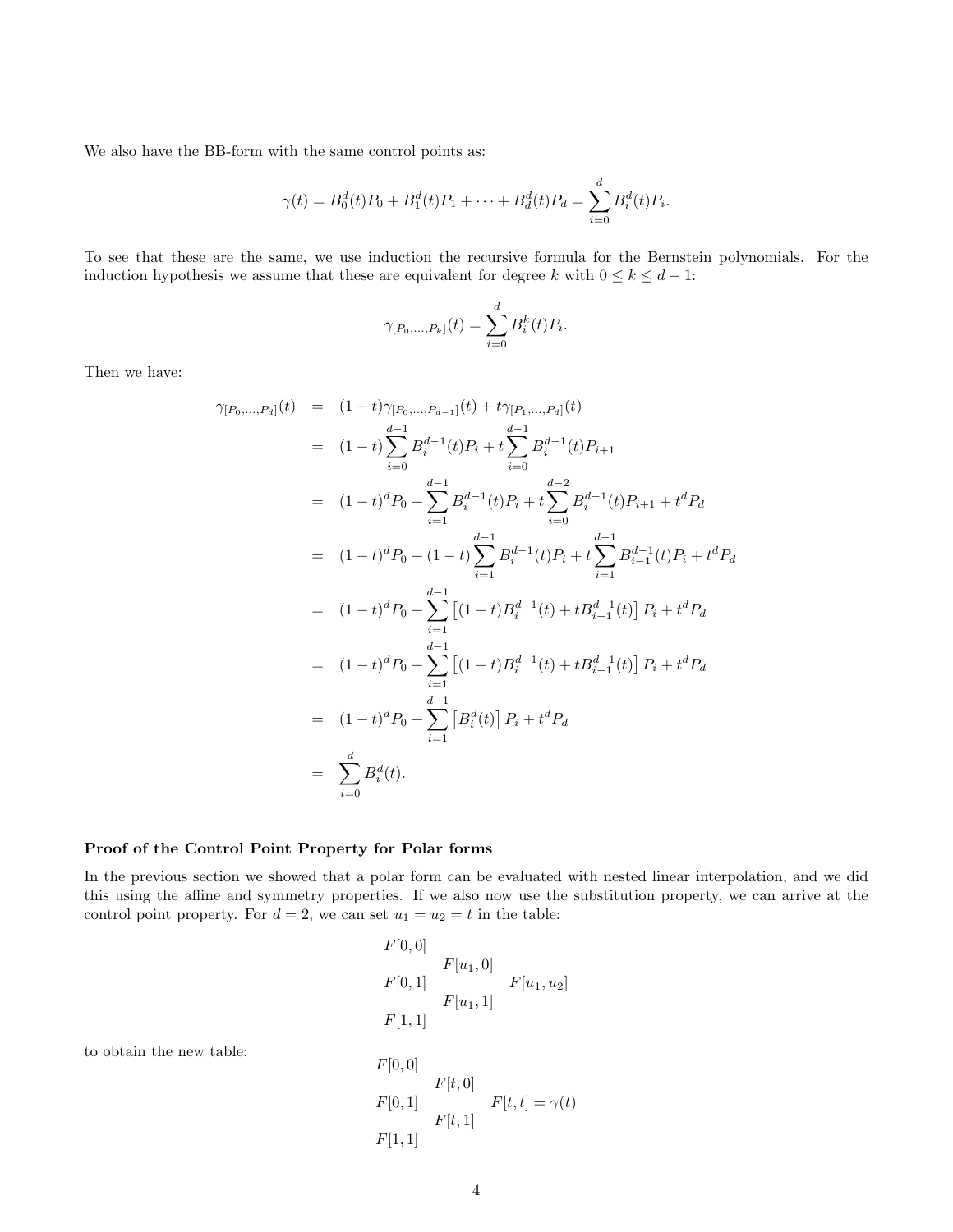We also have the BB-form with the same control points as:

$$
\gamma(t) = B_0^d(t)P_0 + B_1^d(t)P_1 + \dots + B_d^d(t)P_d = \sum_{i=0}^d B_i^d(t)P_i.
$$

To see that these are the same, we use induction the recursive formula for the Bernstein polynomials. For the induction hypothesis we assume that these are equivalent for degree k with  $0 \le k \le d - 1$ :

$$
\gamma_{[P_0,\ldots,P_k]}(t) = \sum_{i=0}^d B_i^k(t) P_i.
$$

Then we have:

$$
\gamma_{[P_0,...,P_d]}(t) = (1-t)\gamma_{[P_0,...,P_{d-1}]}(t) + t\gamma_{[P_1,...,P_d]}(t)
$$
  
\n
$$
= (1-t)\sum_{i=0}^{d-1} B_i^{d-1}(t)P_i + t\sum_{i=0}^{d-1} B_i^{d-1}(t)P_{i+1}
$$
  
\n
$$
= (1-t)^d P_0 + \sum_{i=1}^{d-1} B_i^{d-1}(t)P_i + t\sum_{i=0}^{d-2} B_i^{d-1}(t)P_{i+1} + t^d P_d
$$
  
\n
$$
= (1-t)^d P_0 + (1-t)\sum_{i=1}^{d-1} B_i^{d-1}(t)P_i + t\sum_{i=1}^{d-1} B_{i-1}^{d-1}(t)P_i + t^d P_d
$$
  
\n
$$
= (1-t)^d P_0 + \sum_{i=1}^{d-1} [(1-t)B_i^{d-1}(t) + tB_{i-1}^{d-1}(t)] P_i + t^d P_d
$$
  
\n
$$
= (1-t)^d P_0 + \sum_{i=1}^{d-1} [(1-t)B_i^{d-1}(t) + tB_{i-1}^{d-1}(t)] P_i + t^d P_d
$$
  
\n
$$
= (1-t)^d P_0 + \sum_{i=1}^{d-1} [B_i^d(t)] P_i + t^d P_d
$$
  
\n
$$
= \sum_{i=0}^d B_i^d(t).
$$

# Proof of the Control Point Property for Polar forms

In the previous section we showed that a polar form can be evaluated with nested linear interpolation, and we did this using the affine and symmetry properties. If we also now use the substitution property, we can arrive at the control point property. For  $d = 2$ , we can set  $u_1 = u_2 = t$  in the table:

$$
F[0, 0]
$$
  
\n
$$
F[u_1, 0]
$$
  
\n
$$
F[0, 1]
$$
  
\n
$$
F[u_1, 1]
$$
  
\n
$$
F[1, 1]
$$
  
\n
$$
F[0, 0]
$$
  
\n
$$
F[t, 0]
$$
  
\n
$$
F[t, 1]
$$
  
\n
$$
F[1, 1]
$$
  
\n
$$
F[1, 1]
$$

to obtain the new table: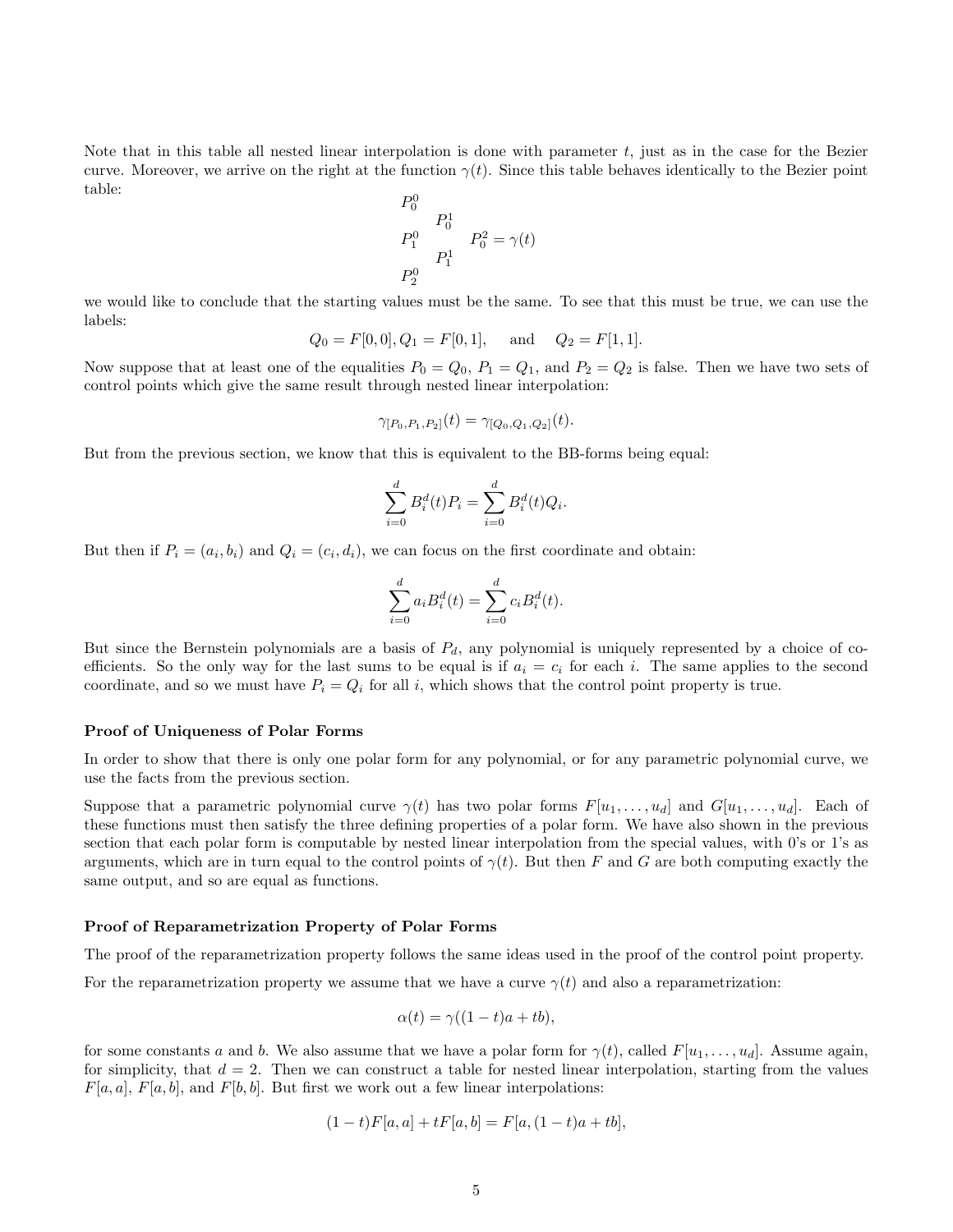Note that in this table all nested linear interpolation is done with parameter t, just as in the case for the Bezier curve. Moreover, we arrive on the right at the function  $\gamma(t)$ . Since this table behaves identically to the Bezier point table:

$$
\begin{array}{ccc}\nP_0^0 & & & \\
P_0^1 & & & \\
P_1^0 & & & \\
P_1^1 & & & \\
P_2^0 & & & \n\end{array} \qquad P_0^2 = \gamma(t)
$$

we would like to conclude that the starting values must be the same. To see that this must be true, we can use the labels:

$$
Q_0 = F[0,0], Q_1 = F[0,1],
$$
 and  $Q_2 = F[1,1].$ 

Now suppose that at least one of the equalities  $P_0 = Q_0$ ,  $P_1 = Q_1$ , and  $P_2 = Q_2$  is false. Then we have two sets of control points which give the same result through nested linear interpolation:

$$
\gamma_{[P_0,P_1,P_2]}(t) = \gamma_{[Q_0,Q_1,Q_2]}(t).
$$

But from the previous section, we know that this is equivalent to the BB-forms being equal:

$$
\sum_{i=0}^{d} B_i^d(t) P_i = \sum_{i=0}^{d} B_i^d(t) Q_i.
$$

But then if  $P_i = (a_i, b_i)$  and  $Q_i = (c_i, d_i)$ , we can focus on the first coordinate and obtain:

$$
\sum_{i=0}^{d} a_i B_i^d(t) = \sum_{i=0}^{d} c_i B_i^d(t).
$$

But since the Bernstein polynomials are a basis of  $P_d$ , any polynomial is uniquely represented by a choice of coefficients. So the only way for the last sums to be equal is if  $a_i = c_i$  for each i. The same applies to the second coordinate, and so we must have  $P_i = Q_i$  for all i, which shows that the control point property is true.

#### Proof of Uniqueness of Polar Forms

In order to show that there is only one polar form for any polynomial, or for any parametric polynomial curve, we use the facts from the previous section.

Suppose that a parametric polynomial curve  $\gamma(t)$  has two polar forms  $F[u_1, \ldots, u_d]$  and  $G[u_1, \ldots, u_d]$ . Each of these functions must then satisfy the three defining properties of a polar form. We have also shown in the previous section that each polar form is computable by nested linear interpolation from the special values, with 0's or 1's as arguments, which are in turn equal to the control points of  $\gamma(t)$ . But then F and G are both computing exactly the same output, and so are equal as functions.

#### Proof of Reparametrization Property of Polar Forms

The proof of the reparametrization property follows the same ideas used in the proof of the control point property.

For the reparametrization property we assume that we have a curve  $\gamma(t)$  and also a reparametrization:

$$
\alpha(t) = \gamma((1-t)a + tb),
$$

for some constants a and b. We also assume that we have a polar form for  $\gamma(t)$ , called  $F[u_1, \ldots, u_d]$ . Assume again, for simplicity, that  $d = 2$ . Then we can construct a table for nested linear interpolation, starting from the values  $F[a, a], F[a, b],$  and  $F[b, b]$ . But first we work out a few linear interpolations:

$$
(1-t)F[a,a] + tF[a,b] = F[a,(1-t)a + tb],
$$